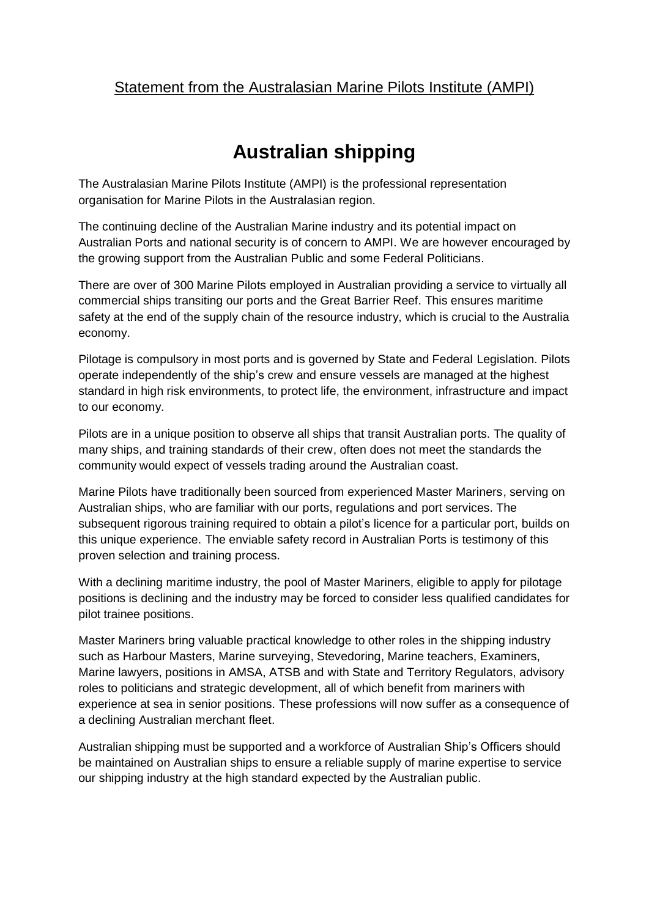## Statement from the Australasian Marine Pilots Institute (AMPI)

## **Australian shipping**

The Australasian Marine Pilots Institute (AMPI) is the professional representation organisation for Marine Pilots in the Australasian region.

The continuing decline of the Australian Marine industry and its potential impact on Australian Ports and national security is of concern to AMPI. We are however encouraged by the growing support from the Australian Public and some Federal Politicians.

There are over of 300 Marine Pilots employed in Australian providing a service to virtually all commercial ships transiting our ports and the Great Barrier Reef. This ensures maritime safety at the end of the supply chain of the resource industry, which is crucial to the Australia economy.

Pilotage is compulsory in most ports and is governed by State and Federal Legislation. Pilots operate independently of the ship's crew and ensure vessels are managed at the highest standard in high risk environments, to protect life, the environment, infrastructure and impact to our economy.

Pilots are in a unique position to observe all ships that transit Australian ports. The quality of many ships, and training standards of their crew, often does not meet the standards the community would expect of vessels trading around the Australian coast.

Marine Pilots have traditionally been sourced from experienced Master Mariners, serving on Australian ships, who are familiar with our ports, regulations and port services. The subsequent rigorous training required to obtain a pilot's licence for a particular port, builds on this unique experience. The enviable safety record in Australian Ports is testimony of this proven selection and training process.

With a declining maritime industry, the pool of Master Mariners, eligible to apply for pilotage positions is declining and the industry may be forced to consider less qualified candidates for pilot trainee positions.

Master Mariners bring valuable practical knowledge to other roles in the shipping industry such as Harbour Masters, Marine surveying, Stevedoring, Marine teachers, Examiners, Marine lawyers, positions in AMSA, ATSB and with State and Territory Regulators, advisory roles to politicians and strategic development, all of which benefit from mariners with experience at sea in senior positions. These professions will now suffer as a consequence of a declining Australian merchant fleet.

Australian shipping must be supported and a workforce of Australian Ship's Officers should be maintained on Australian ships to ensure a reliable supply of marine expertise to service our shipping industry at the high standard expected by the Australian public.